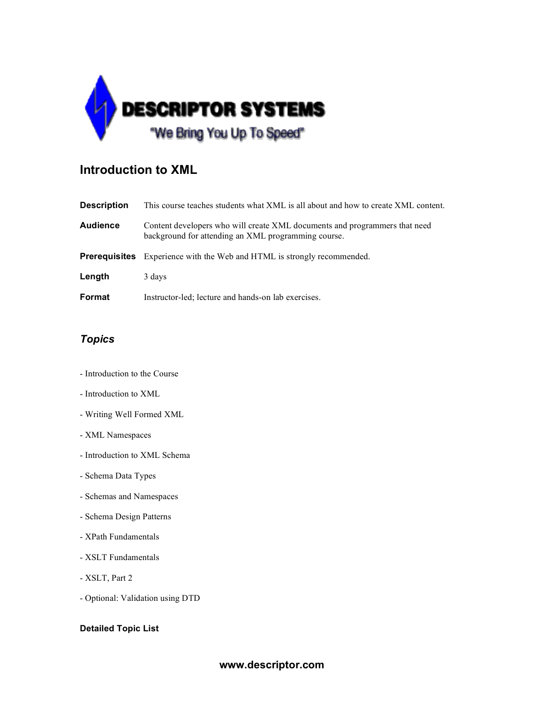

## **Introduction to XML**

| <b>Description</b>   | This course teaches students what XML is all about and how to create XML content.                                                 |
|----------------------|-----------------------------------------------------------------------------------------------------------------------------------|
| <b>Audience</b>      | Content developers who will create XML documents and programmers that need<br>background for attending an XML programming course. |
| <b>Prereguisites</b> | Experience with the Web and HTML is strongly recommended.                                                                         |
| Length               | 3 days                                                                                                                            |
| Format               | Instructor-led; lecture and hands-on lab exercises.                                                                               |

## *Topics*

- Introduction to the Course
- Introduction to XML
- Writing Well Formed XML
- XML Namespaces
- Introduction to XML Schema
- Schema Data Types
- Schemas and Namespaces
- Schema Design Patterns
- XPath Fundamentals
- XSLT Fundamentals
- XSLT, Part 2
- Optional: Validation using DTD

## **Detailed Topic List**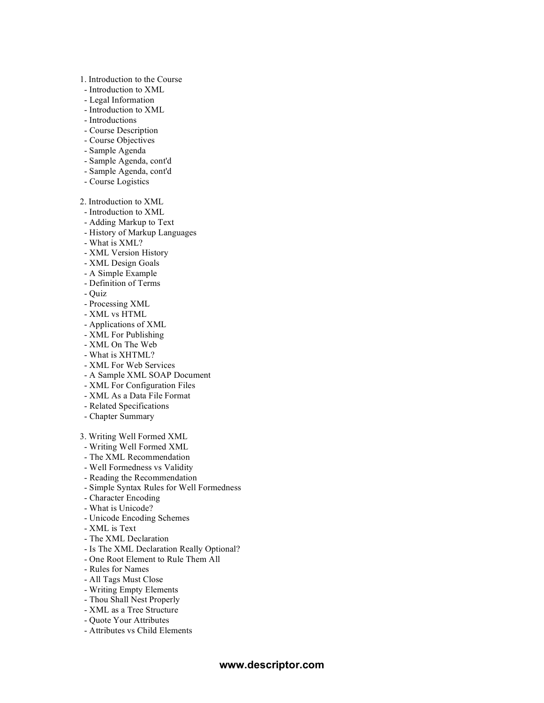- 1. Introduction to the Course
- Introduction to XML
- Legal Information
- Introduction to XML
- Introductions
- Course Description
- Course Objectives
- Sample Agenda
- Sample Agenda, cont'd
- Sample Agenda, cont'd
- Course Logistics

2. Introduction to XML

- Introduction to XML
- Adding Markup to Text
- History of Markup Languages
- What is XML?
- XML Version History
- XML Design Goals
- A Simple Example
- Definition of Terms
- Quiz
- Processing XML
- XML vs HTML
- Applications of XML
- XML For Publishing
- XML On The Web
- What is XHTML?
- XML For Web Services
- A Sample XML SOAP Document
- XML For Configuration Files
- XML As a Data File Format
- Related Specifications
- Chapter Summary
- 3. Writing Well Formed XML
- Writing Well Formed XML
- The XML Recommendation
- Well Formedness vs Validity
- Reading the Recommendation
- Simple Syntax Rules for Well Formedness
- Character Encoding
- What is Unicode?
- Unicode Encoding Schemes
- XML is Text
- The XML Declaration
- Is The XML Declaration Really Optional?
- One Root Element to Rule Them All
- Rules for Names
- All Tags Must Close
- Writing Empty Elements
- Thou Shall Nest Properly
- XML as a Tree Structure
- Quote Your Attributes
- Attributes vs Child Elements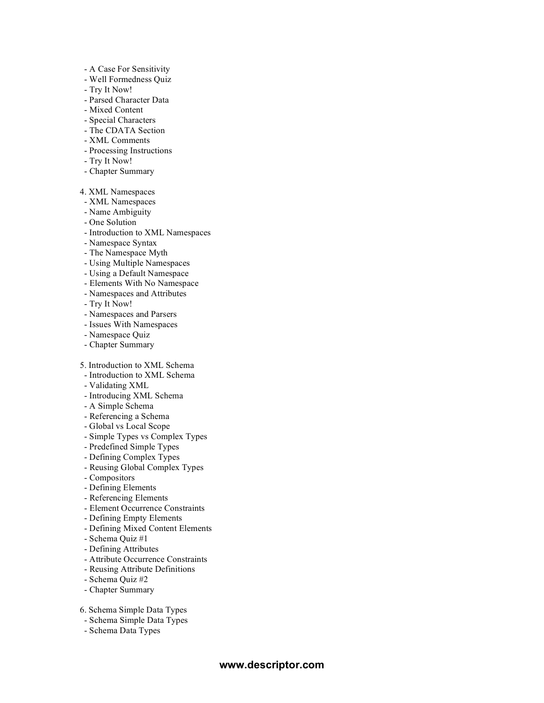- A Case For Sensitivity
- Well Formedness Quiz
- Try It Now!
- Parsed Character Data
- Mixed Content
- Special Characters
- The CDATA Section
- XML Comments
- Processing Instructions
- Try It Now!
- Chapter Summary

4. XML Namespaces

- XML Namespaces
- Name Ambiguity
- One Solution
- Introduction to XML Namespaces
- Namespace Syntax
- The Namespace Myth
- Using Multiple Namespaces
- Using a Default Namespace
- Elements With No Namespace
- Namespaces and Attributes
- Try It Now!
- Namespaces and Parsers
- Issues With Namespaces
- Namespace Quiz
- Chapter Summary
- 5. Introduction to XML Schema
- Introduction to XML Schema
- Validating XML
- Introducing XML Schema
- A Simple Schema
- Referencing a Schema
- Global vs Local Scope
- Simple Types vs Complex Types
- Predefined Simple Types
- Defining Complex Types
- Reusing Global Complex Types
- Compositors
- Defining Elements
- Referencing Elements
- Element Occurrence Constraints
- Defining Empty Elements
- Defining Mixed Content Elements
- Schema Quiz #1
- Defining Attributes
- Attribute Occurrence Constraints
- Reusing Attribute Definitions
- Schema Quiz #2
- Chapter Summary
- 6. Schema Simple Data Types
- Schema Simple Data Types
- Schema Data Types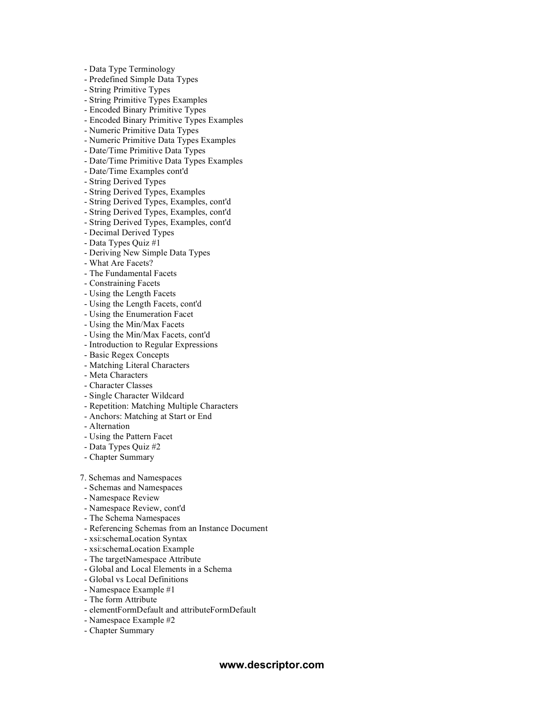- Data Type Terminology

- Predefined Simple Data Types

- String Primitive Types

- String Primitive Types Examples

- Encoded Binary Primitive Types

- Encoded Binary Primitive Types Examples

- Numeric Primitive Data Types

- Numeric Primitive Data Types Examples

- Date/Time Primitive Data Types

- Date/Time Primitive Data Types Examples

- Date/Time Examples cont'd

- String Derived Types

- String Derived Types, Examples

- String Derived Types, Examples, cont'd

- String Derived Types, Examples, cont'd

- String Derived Types, Examples, cont'd

- Decimal Derived Types

- Data Types Quiz #1

- Deriving New Simple Data Types

- What Are Facets?

- The Fundamental Facets

- Constraining Facets

- Using the Length Facets

- Using the Length Facets, cont'd

- Using the Enumeration Facet

- Using the Min/Max Facets

- Using the Min/Max Facets, cont'd

- Introduction to Regular Expressions

- Basic Regex Concepts

- Matching Literal Characters

- Meta Characters

- Character Classes

- Single Character Wildcard

- Repetition: Matching Multiple Characters

- Anchors: Matching at Start or End

- Alternation

- Using the Pattern Facet

- Data Types Quiz #2

- Chapter Summary

7. Schemas and Namespaces

- Schemas and Namespaces

- Namespace Review

- Namespace Review, cont'd

- The Schema Namespaces

- Referencing Schemas from an Instance Document

- xsi:schemaLocation Syntax

- xsi:schemaLocation Example

- The targetNamespace Attribute

- Global and Local Elements in a Schema

- Global vs Local Definitions

- Namespace Example #1

- The form Attribute

- elementFormDefault and attributeFormDefault

- Namespace Example #2

- Chapter Summary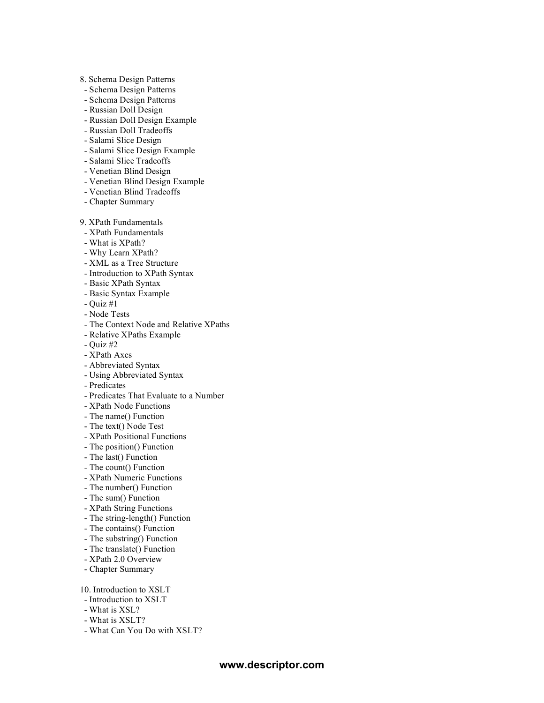- 8. Schema Design Patterns
- Schema Design Patterns
- Schema Design Patterns
- Russian Doll Design
- Russian Doll Design Example
- Russian Doll Tradeoffs
- Salami Slice Design
- Salami Slice Design Example
- Salami Slice Tradeoffs
- Venetian Blind Design
- Venetian Blind Design Example
- Venetian Blind Tradeoffs
- Chapter Summary

9. XPath Fundamentals

- XPath Fundamentals
- What is XPath?
- Why Learn XPath?
- XML as a Tree Structure
- Introduction to XPath Syntax
- Basic XPath Syntax
- Basic Syntax Example
- Quiz #1
- Node Tests
- The Context Node and Relative XPaths
- Relative XPaths Example
- Quiz #2
- XPath Axes
- Abbreviated Syntax
- Using Abbreviated Syntax
- Predicates
- Predicates That Evaluate to a Number
- XPath Node Functions
- The name() Function
- The text() Node Test
- XPath Positional Functions
- The position() Function
- The last() Function
- The count() Function
- XPath Numeric Functions
- The number() Function
- The sum() Function
- XPath String Functions
- The string-length() Function
- The contains() Function
- The substring() Function
- The translate() Function
- XPath 2.0 Overview
- Chapter Summary

10. Introduction to XSLT

- Introduction to XSLT
- What is XSL?
- What is XSLT?
- What Can You Do with XSLT?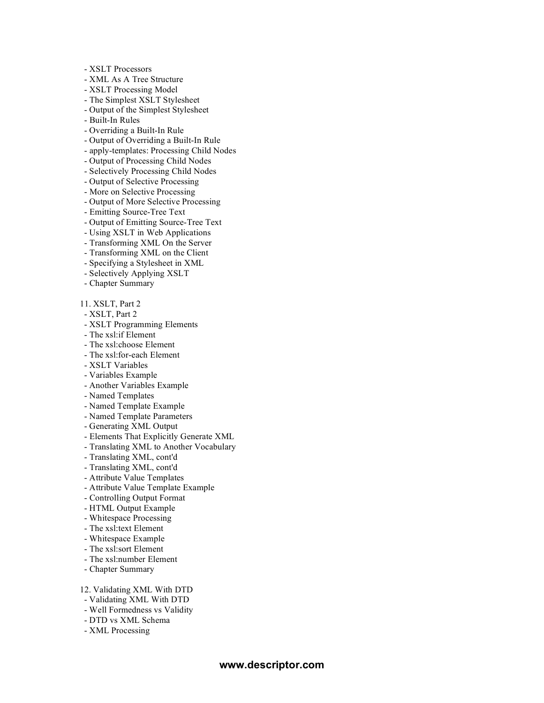- XSLT Processors
- XML As A Tree Structure
- XSLT Processing Model
- The Simplest XSLT Stylesheet
- Output of the Simplest Stylesheet
- Built-In Rules
- Overriding a Built-In Rule
- Output of Overriding a Built-In Rule
- apply-templates: Processing Child Nodes
- Output of Processing Child Nodes
- Selectively Processing Child Nodes
- Output of Selective Processing
- More on Selective Processing
- Output of More Selective Processing
- Emitting Source-Tree Text
- Output of Emitting Source-Tree Text
- Using XSLT in Web Applications
- Transforming XML On the Server
- Transforming XML on the Client
- Specifying a Stylesheet in XML
- Selectively Applying XSLT
- Chapter Summary
- 11. XSLT, Part 2
- XSLT, Part 2
- XSLT Programming Elements
- The xsl:if Element
- The xsl:choose Element
- The xsl:for-each Element
- XSLT Variables
- Variables Example
- Another Variables Example
- Named Templates
- Named Template Example
- Named Template Parameters
- Generating XML Output
- Elements That Explicitly Generate XML
- Translating XML to Another Vocabulary
- Translating XML, cont'd
- Translating XML, cont'd
- Attribute Value Templates
- Attribute Value Template Example
- Controlling Output Format
- HTML Output Example
- Whitespace Processing
- The xsl:text Element
- Whitespace Example
- The xsl:sort Element
- The xsl:number Element
- Chapter Summary
- 12. Validating XML With DTD
- Validating XML With DTD
- Well Formedness vs Validity
- DTD vs XML Schema
- XML Processing